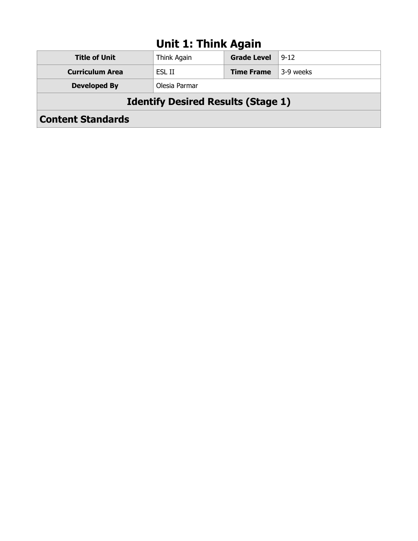### **Unit 1: Think Again**

| <b>Content Standards</b>                  |               |                    |           |
|-------------------------------------------|---------------|--------------------|-----------|
| <b>Identify Desired Results (Stage 1)</b> |               |                    |           |
| <b>Developed By</b>                       | Olesia Parmar |                    |           |
| <b>Curriculum Area</b>                    | ESL II        | <b>Time Frame</b>  | 3-9 weeks |
| <b>Title of Unit</b>                      | Think Again   | <b>Grade Level</b> | $9 - 12$  |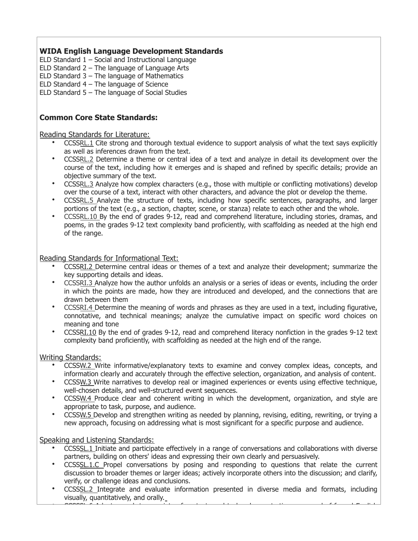ELD Standard 1 – Social and Instructional Language

ELD Standard 2 – The language of Language Arts

ELD Standard 3 – The language of Mathematics

ELD Standard 4 – The language of Science

ELD Standard 5 – The language of Social Studies

#### **Common Core State Standards:**

Reading Standards for Literature:

- CCSS[RL.1](http://www.corestandards.org/ELA-Literacy/RL/9-10/1/) Cite strong and thorough textual evidence to support analysis of what the text says explicitly as well as inferences drawn from the text.
- CCSS[RL.2](http://www.corestandards.org/ELA-Literacy/RL/9-10/2/) Determine a theme or central idea of a text and analyze in detail its development over the course of the text, including how it emerges and is shaped and refined by specific details; provide an objective summary of the text.
- CCSS[RL.3](http://www.corestandards.org/ELA-Literacy/RL/9-10/3/) Analyze how complex characters (e.g., those with multiple or conflicting motivations) develop over the course of a text, interact with other characters, and advance the plot or develop the theme.
- CCSSRL.5 Analyze the structure of texts, including how specific sentences, paragraphs, and larger portions of the text (e.g., a section, chapter, scene, or stanza) relate to each other and the whole.
- CCSSRL.10 By the end of grades 9-12, read and comprehend literature, including stories, dramas, and poems, in the grades 9-12 text complexity band proficiently, with scaffolding as needed at the high end of the range.

Reading Standards for Informational Text:

- CCSSRI.2 Determine central ideas or themes of a text and analyze their development; summarize the key supporting details and ideas.
- CCSSRI.3 Analyze how the author unfolds an analysis or a series of ideas or events, including the order in which the points are made, how they are introduced and developed, and the connections that are drawn between them
- CCSSRI.4 Determine the meaning of words and phrases as they are used in a text, including figurative, connotative, and technical meanings; analyze the cumulative impact on specific word choices on meaning and tone
- CCSS[RI.10](http://www.corestandards.org/ELA-Literacy/RI/9-10/10/) By the end of grades 9-12, read and comprehend literacy nonfiction in the grades 9-12 text complexity band proficiently, with scaffolding as needed at the high end of the range.

#### Writing Standards:

- CCSSW.2 Write informative/explanatory texts to examine and convey complex ideas, concepts, and information clearly and accurately through the effective selection, organization, and analysis of content.
- CCSSW.3 Write narratives to develop real or imagined experiences or events using effective technique, well-chosen details, and well-structured event sequences.
- CCSSW.4 Produce clear and coherent writing in which the development, organization, and style are appropriate to task, purpose, and audience.
- CCSSW.5 Develop and strengthen writing as needed by planning, revising, editing, rewriting, or trying a new approach, focusing on addressing what is most significant for a specific purpose and audience.

Speaking and Listening Standards:

- CCSSSL.1 Initiate and participate effectively in a range of conversations and collaborations with diverse partners, building on others' ideas and expressing their own clearly and persuasively.
- CCSSSL.1.C Propel conversations by posing and responding to questions that relate the current discussion to broader themes or larger ideas; actively incorporate others into the discussion; and clarify, verify, or challenge ideas and conclusions.
- CCSSSL.2 Integrate and evaluate information presented in diverse media and formats, including visually, quantitatively, and orally.  $\sim$  Cocosi can be a variety of contexts and tasks, demonstrating community community community community community  $\sim$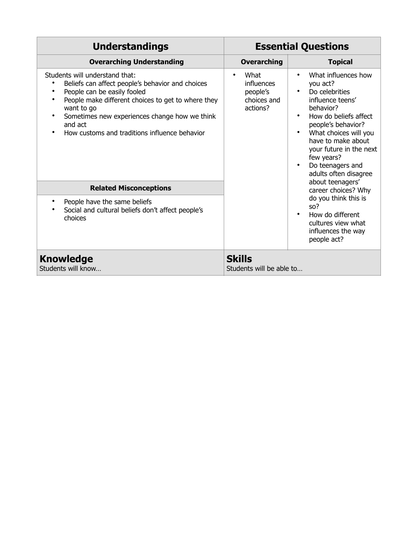| <b>Understandings</b>                                                                                                                                                                                                                                                                                                                     |                                                                  | <b>Essential Questions</b>                                                                                                                                                                                                                                             |
|-------------------------------------------------------------------------------------------------------------------------------------------------------------------------------------------------------------------------------------------------------------------------------------------------------------------------------------------|------------------------------------------------------------------|------------------------------------------------------------------------------------------------------------------------------------------------------------------------------------------------------------------------------------------------------------------------|
| <b>Overarching Understanding</b>                                                                                                                                                                                                                                                                                                          | <b>Overarching</b>                                               | <b>Topical</b>                                                                                                                                                                                                                                                         |
| Students will understand that:<br>Beliefs can affect people's behavior and choices<br>People can be easily fooled<br>$\bullet$<br>People make different choices to get to where they<br>$\bullet$<br>want to go<br>Sometimes new experiences change how we think<br>$\bullet$<br>and act<br>How customs and traditions influence behavior | What<br><i>influences</i><br>people's<br>choices and<br>actions? | What influences how<br>you act?<br>Do celebrities<br>influence teens'<br>behavior?<br>How do beliefs affect<br>people's behavior?<br>What choices will you<br>have to make about<br>your future in the next<br>few years?<br>Do teenagers and<br>adults often disagree |
| <b>Related Misconceptions</b>                                                                                                                                                                                                                                                                                                             |                                                                  | about teenagers'<br>career choices? Why                                                                                                                                                                                                                                |
| People have the same beliefs<br>$\bullet$<br>Social and cultural beliefs don't affect people's<br>choices                                                                                                                                                                                                                                 |                                                                  | do you think this is<br>SO <sup>2</sup><br>How do different<br>cultures view what<br>influences the way<br>people act?                                                                                                                                                 |
| Knowledge<br>Students will know                                                                                                                                                                                                                                                                                                           | <b>Skills</b><br>Students will be able to                        |                                                                                                                                                                                                                                                                        |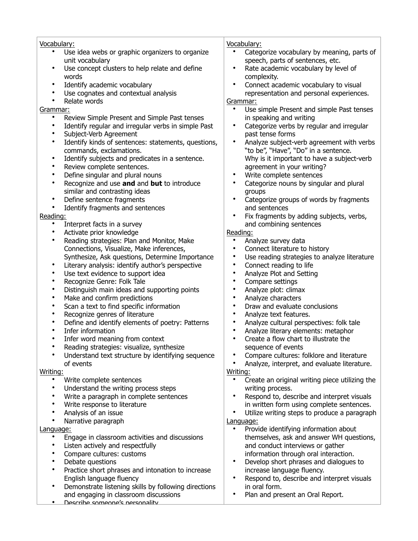| Vocabulary:                                                    | Vocabulary:                                                    |
|----------------------------------------------------------------|----------------------------------------------------------------|
| Use idea webs or graphic organizers to organize                | Categorize vocabulary by meaning, parts of                     |
| unit vocabulary                                                | speech, parts of sentences, etc.                               |
| Use concept clusters to help relate and define<br>٠            | Rate academic vocabulary by level of<br>$\bullet$              |
| words                                                          | complexity.                                                    |
| Identify academic vocabulary<br>٠                              | Connect academic vocabulary to visual<br>$\bullet$             |
| Use cognates and contextual analysis<br>٠                      | representation and personal experiences.                       |
| Relate words                                                   | Grammar:                                                       |
| Grammar:                                                       | Use simple Present and simple Past tenses                      |
| Review Simple Present and Simple Past tenses<br>$\bullet$      | in speaking and writing                                        |
| Identify regular and irregular verbs in simple Past            | Categorize verbs by regular and irregular                      |
| Subject-Verb Agreement                                         | past tense forms                                               |
| Identify kinds of sentences: statements, questions,<br>٠       | Analyze subject-verb agreement with verbs                      |
|                                                                |                                                                |
| commands, exclamations.<br>٠                                   | "to be", "Have", "Do" in a sentence.                           |
| Identify subjects and predicates in a sentence.<br>٠           | Why is it important to have a subject-verb                     |
| Review complete sentences.                                     | agreement in your writing?                                     |
| Define singular and plural nouns                               | Write complete sentences                                       |
| Recognize and use and and but to introduce<br>٠                | Categorize nouns by singular and plural                        |
| similar and contrasting ideas                                  | groups                                                         |
| Define sentence fragments<br>$\bullet$                         | Categorize groups of words by fragments<br>$\bullet$           |
| Identify fragments and sentences                               | and sentences                                                  |
| Reading:                                                       | Fix fragments by adding subjects, verbs,                       |
| Interpret facts in a survey<br>٠                               | and combining sentences                                        |
| Activate prior knowledge<br>٠                                  | Reading:                                                       |
| Reading strategies: Plan and Monitor, Make<br>٠                | Analyze survey data                                            |
| Connections, Visualize, Make inferences,                       | Connect literature to history                                  |
| Synthesize, Ask questions, Determine Importance                | Use reading strategies to analyze literature                   |
| Literary analysis: identify author's perspective<br>٠          | Connect reading to life                                        |
| Use text evidence to support idea                              | Analyze Plot and Setting                                       |
| Recognize Genre: Folk Tale                                     | Compare settings                                               |
| Distinguish main ideas and supporting points                   | Analyze plot: climax                                           |
| Make and confirm predictions                                   | Analyze characters                                             |
| Scan a text to find specific information                       | Draw and evaluate conclusions                                  |
| Recognize genres of literature                                 | Analyze text features.                                         |
| Define and identify elements of poetry: Patterns               | Analyze cultural perspectives: folk tale                       |
| Infer information                                              | Analyze literary elements: metaphor                            |
| Infer word meaning from context                                | Create a flow chart to illustrate the                          |
| Reading strategies: visualize, synthesize                      | sequence of events                                             |
| Understand text structure by identifying sequence<br>$\bullet$ | Compare cultures: folklore and literature                      |
| of events                                                      | Analyze, interpret, and evaluate literature.                   |
| Writing:                                                       | Writing:                                                       |
| $\bullet$                                                      | $\bullet$                                                      |
| Write complete sentences<br>٠                                  | Create an original writing piece utilizing the                 |
| Understand the writing process steps<br>$\bullet$              | writing process.<br>Respond to, describe and interpret visuals |
| Write a paragraph in complete sentences                        |                                                                |
| Write response to literature                                   | in written form using complete sentences.                      |
| Analysis of an issue                                           | Utilize writing steps to produce a paragraph<br>$\bullet$      |
| Narrative paragraph<br>٠                                       | Language:                                                      |
| Language:                                                      | Provide identifying information about<br>$\bullet$             |
| Engage in classroom activities and discussions<br>٠            | themselves, ask and answer WH questions,                       |
| Listen actively and respectfully<br>٠                          | and conduct interviews or gather                               |
| Compare cultures: customs<br>$\bullet$                         | information through oral interaction.                          |
| Debate questions<br>٠                                          | Develop short phrases and dialogues to<br>$\bullet$            |
| Practice short phrases and intonation to increase<br>٠         | increase language fluency.                                     |
| English language fluency                                       | Respond to, describe and interpret visuals<br>$\bullet$        |
| Demonstrate listening skills by following directions<br>٠      | in oral form.                                                  |
| and engaging in classroom discussions                          | Plan and present an Oral Report.<br>$\bullet$                  |
| Describe someone's nersonality                                 |                                                                |
|                                                                |                                                                |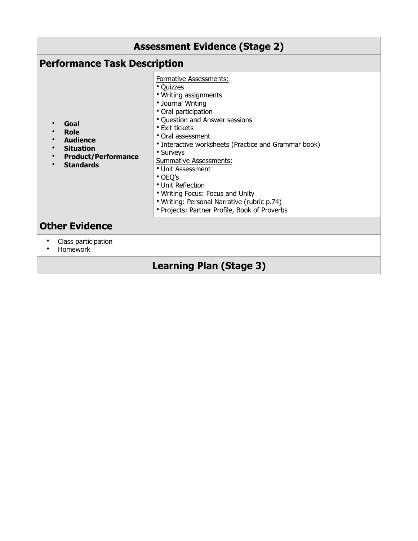| <b>Assessment Evidence (Stage 2)</b>                                                                  |                                                                                                                                                                                                                                                                                                                                                                                                                                                                                         |  |
|-------------------------------------------------------------------------------------------------------|-----------------------------------------------------------------------------------------------------------------------------------------------------------------------------------------------------------------------------------------------------------------------------------------------------------------------------------------------------------------------------------------------------------------------------------------------------------------------------------------|--|
| <b>Performance Task Description</b>                                                                   |                                                                                                                                                                                                                                                                                                                                                                                                                                                                                         |  |
| Goal<br>Role<br><b>Audience</b><br><b>Situation</b><br><b>Product/Performance</b><br><b>Standards</b> | Formative Assessments:<br>• Quizzes<br>• Writing assignments<br>• Journal Writing<br>• Oral participation<br>• Question and Answer sessions<br>• Exit tickets<br>• Oral assessment<br>• Interactive worksheets (Practice and Grammar book)<br>• Surveys<br><b>Summative Assessments:</b><br>• Unit Assessment<br>$\cdot$ OEO's<br>• Unit Reflection<br>• Writing Focus: Focus and Unity<br>• Writing: Personal Narrative (rubric p.74)<br>• Projects: Partner Profile, Book of Proverbs |  |
| <b>Other Evidence</b>                                                                                 |                                                                                                                                                                                                                                                                                                                                                                                                                                                                                         |  |
| Class participation<br>Homework                                                                       |                                                                                                                                                                                                                                                                                                                                                                                                                                                                                         |  |
| <b>Learning Plan (Stage 3)</b>                                                                        |                                                                                                                                                                                                                                                                                                                                                                                                                                                                                         |  |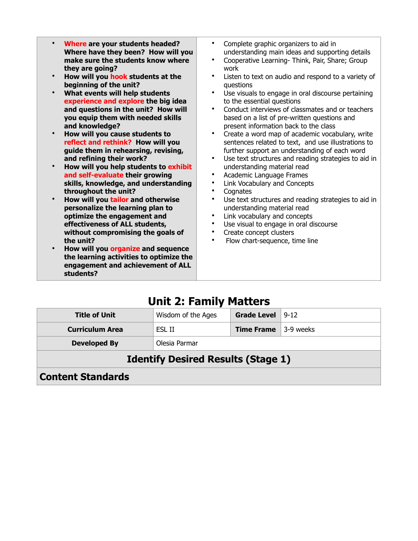| Where are your students headed?<br>$\bullet$<br>Where have they been? How will you<br>make sure the students know where<br>they are going?<br>How will you hook students at the<br>$\bullet$<br>beginning of the unit?<br>What events will help students<br>experience and explore the big idea<br>and questions in the unit? How will<br>you equip them with needed skills<br>and knowledge?<br>How will you cause students to<br>reflect and rethink? How will you<br>guide them in rehearsing, revising,<br>and refining their work?<br>How will you help students to exhibit<br>$\bullet$<br>and self-evaluate their growing<br>skills, knowledge, and understanding<br>throughout the unit?<br>How will you tailor and otherwise<br>$\bullet$<br>personalize the learning plan to<br>optimize the engagement and<br>effectiveness of ALL students,<br>without compromising the goals of<br>the unit?<br>How will you organize and sequence | Complete graphic organizers to aid in<br>$\bullet$<br>understanding main ideas and supporting details<br>Cooperative Learning- Think, Pair, Share; Group<br>work<br>Listen to text on audio and respond to a variety of<br>$\bullet$<br>questions<br>$\bullet$<br>Use visuals to engage in oral discourse pertaining<br>to the essential questions<br>Conduct interviews of classmates and or teachers<br>$\bullet$<br>based on a list of pre-written questions and<br>present information back to the class<br>Create a word map of academic vocabulary, write<br>$\bullet$<br>sentences related to text, and use illustrations to<br>further support an understanding of each word<br>Use text structures and reading strategies to aid in<br>$\bullet$<br>understanding material read<br>Academic Language Frames<br>$\bullet$<br>Link Vocabulary and Concepts<br>$\bullet$<br>Cognates<br>$\bullet$<br>Use text structures and reading strategies to aid in<br>$\bullet$<br>understanding material read<br>Link vocabulary and concepts<br>$\bullet$<br>Use visual to engage in oral discourse<br>٠<br>Create concept clusters<br>$\bullet$<br>Flow chart-sequence, time line<br>$\bullet$ |
|-------------------------------------------------------------------------------------------------------------------------------------------------------------------------------------------------------------------------------------------------------------------------------------------------------------------------------------------------------------------------------------------------------------------------------------------------------------------------------------------------------------------------------------------------------------------------------------------------------------------------------------------------------------------------------------------------------------------------------------------------------------------------------------------------------------------------------------------------------------------------------------------------------------------------------------------------|------------------------------------------------------------------------------------------------------------------------------------------------------------------------------------------------------------------------------------------------------------------------------------------------------------------------------------------------------------------------------------------------------------------------------------------------------------------------------------------------------------------------------------------------------------------------------------------------------------------------------------------------------------------------------------------------------------------------------------------------------------------------------------------------------------------------------------------------------------------------------------------------------------------------------------------------------------------------------------------------------------------------------------------------------------------------------------------------------------------------------------------------------------------------------------------------|
| the learning activities to optimize the                                                                                                                                                                                                                                                                                                                                                                                                                                                                                                                                                                                                                                                                                                                                                                                                                                                                                                         |                                                                                                                                                                                                                                                                                                                                                                                                                                                                                                                                                                                                                                                                                                                                                                                                                                                                                                                                                                                                                                                                                                                                                                                                |
|                                                                                                                                                                                                                                                                                                                                                                                                                                                                                                                                                                                                                                                                                                                                                                                                                                                                                                                                                 |                                                                                                                                                                                                                                                                                                                                                                                                                                                                                                                                                                                                                                                                                                                                                                                                                                                                                                                                                                                                                                                                                                                                                                                                |

# **Unit 2: Family Matters**

**engagement and achievement of ALL** 

**students?**

| <b>Title of Unit</b>                      | Wisdom of the Ages | <b>Grade Level</b> | $9 - 12$  |
|-------------------------------------------|--------------------|--------------------|-----------|
| <b>Curriculum Area</b>                    | ESL II             | <b>Time Frame</b>  | 3-9 weeks |
| <b>Developed By</b>                       | Olesia Parmar      |                    |           |
| <b>Identify Desired Results (Stage 1)</b> |                    |                    |           |
| <b>Content Standards</b>                  |                    |                    |           |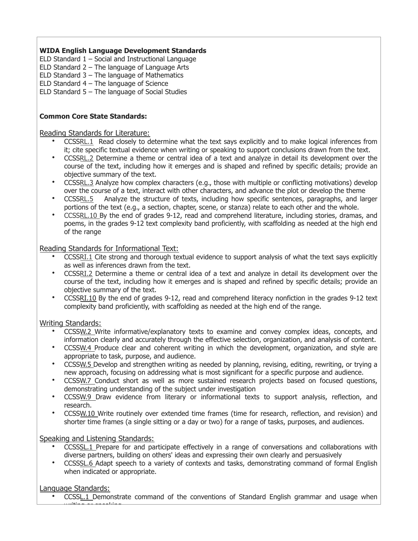ELD Standard  $1 -$  Social and Instructional Language

ELD Standard 2 – The language of Language Arts

ELD Standard 3 – The language of Mathematics

ELD Standard  $4$  – The language of Science

ELD Standard 5 – The language of Social Studies

#### **Common Core State Standards:**

#### Reading Standards for Literature:

- CCSS[RL.1](http://www.corestandards.org/ELA-Literacy/RL/9-10/1/) Read closely to determine what the text says explicitly and to make logical inferences from it; cite specific textual evidence when writing or speaking to support conclusions drawn from the text.
- CCSS[RL.2](http://www.corestandards.org/ELA-Literacy/RL/9-10/2/) Determine a theme or central idea of a text and analyze in detail its development over the course of the text, including how it emerges and is shaped and refined by specific details; provide an objective summary of the text.
- CCSS[RL.3](http://www.corestandards.org/ELA-Literacy/RL/9-10/3/) Analyze how complex characters (e.g., those with multiple or conflicting motivations) develop over the course of a text, interact with other characters, and advance the plot or develop the theme
- CCSSRL.5 Analyze the structure of texts, including how specific sentences, paragraphs, and larger portions of the text (e.g., a section, chapter, scene, or stanza) relate to each other and the whole.
- CCSSRL.10 By the end of grades 9-12, read and comprehend literature, including stories, dramas, and poems, in the grades 9-12 text complexity band proficiently, with scaffolding as needed at the high end of the range

#### Reading Standards for Informational Text:

- CCSS[RI.1](http://www.corestandards.org/ELA-Literacy/RL/9-10/1/) Cite strong and thorough textual evidence to support analysis of what the text says explicitly as well as inferences drawn from the text.
- CCSS[RI.2](http://www.corestandards.org/ELA-Literacy/RL/9-10/2/) Determine a theme or central idea of a text and analyze in detail its development over the course of the text, including how it emerges and is shaped and refined by specific details; provide an objective summary of the text.
- CCSS[RI.10](http://www.corestandards.org/ELA-Literacy/RI/9-10/10/) By the end of grades 9-12, read and comprehend literacy nonfiction in the grades 9-12 text complexity band proficiently, with scaffolding as needed at the high end of the range.

#### Writing Standards:

- CCSSW.2 Write informative/explanatory texts to examine and convey complex ideas, concepts, and information clearly and accurately through the effective selection, organization, and analysis of content.
- CCSSW.4 Produce clear and coherent writing in which the development, organization, and style are appropriate to task, purpose, and audience.
- CCSSW.5 Develop and strengthen writing as needed by planning, revising, editing, rewriting, or trying a new approach, focusing on addressing what is most significant for a specific purpose and audience.
- CCSSW.7 Conduct short as well as more sustained research projects based on focused questions, demonstrating understanding of the subject under investigation
- CCSSW.9 Draw evidence from literary or informational texts to support analysis, reflection, and research.
- CCSSW.10 Write routinely over extended time frames (time for research, reflection, and revision) and shorter time frames (a single sitting or a day or two) for a range of tasks, purposes, and audiences.

#### Speaking and Listening Standards:

writi<del>ng ar speaking.</del><br>.

- CCSSSL.1 Prepare for and participate effectively in a range of conversations and collaborations with diverse partners, building on others' ideas and expressing their own clearly and persuasively
- CCSSSL.6 Adapt speech to a variety of contexts and tasks, demonstrating command of formal English when indicated or appropriate.

#### Language Standards:

CCSSL.1 Demonstrate command of the conventions of Standard English grammar and usage when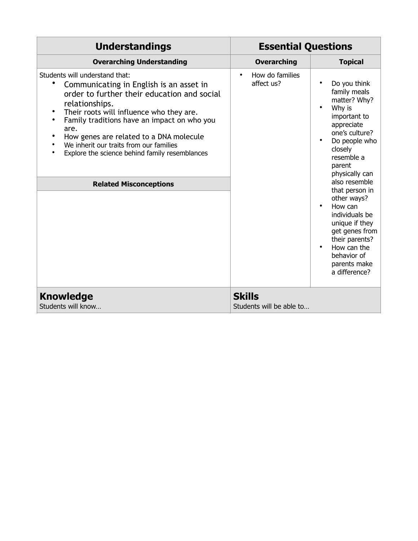| <b>Understandings</b>                                                                                                                                                                                                                                                                                                                                                                                                                                 | <b>Essential Questions</b>                 |                                                                                                                                                                                                                                                                                                                                                                                  |
|-------------------------------------------------------------------------------------------------------------------------------------------------------------------------------------------------------------------------------------------------------------------------------------------------------------------------------------------------------------------------------------------------------------------------------------------------------|--------------------------------------------|----------------------------------------------------------------------------------------------------------------------------------------------------------------------------------------------------------------------------------------------------------------------------------------------------------------------------------------------------------------------------------|
| <b>Overarching Understanding</b>                                                                                                                                                                                                                                                                                                                                                                                                                      | <b>Overarching</b>                         | <b>Topical</b>                                                                                                                                                                                                                                                                                                                                                                   |
| Students will understand that:<br>Communicating in English is an asset in<br>order to further their education and social<br>relationships.<br>Their roots will influence who they are.<br>$\bullet$<br>$\bullet$<br>Family traditions have an impact on who you<br>are.<br>How genes are related to a DNA molecule<br>٠<br>We inherit our traits from our families<br>Explore the science behind family resemblances<br><b>Related Misconceptions</b> | How do families<br>$\bullet$<br>affect us? | Do you think<br>family meals<br>matter? Why?<br>Why is<br>important to<br>appreciate<br>one's culture?<br>Do people who<br>closely<br>resemble a<br>parent<br>physically can<br>also resemble<br>that person in<br>other ways?<br>How can<br>individuals be<br>unique if they<br>get genes from<br>their parents?<br>How can the<br>behavior of<br>parents make<br>a difference? |
| <b>Knowledge</b><br>Students will know                                                                                                                                                                                                                                                                                                                                                                                                                | <b>Skills</b><br>Students will be able to  |                                                                                                                                                                                                                                                                                                                                                                                  |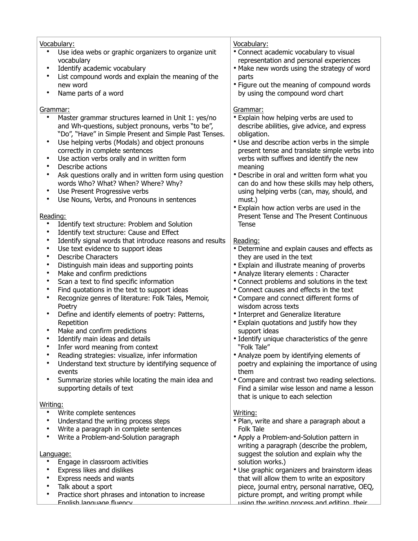| Vocabulary:<br>Use idea webs or graphic organizers to organize unit<br>vocabulary<br>Identify academic vocabulary<br>$\bullet$<br>List compound words and explain the meaning of the<br>$\bullet$<br>new word<br>Name parts of a word<br>$\bullet$                                                                                                                                                                                                                                                                                                                                                                                                                                                                                                                                                                                                                                                                                                                                                                                                            | Vocabulary:<br>• Connect academic vocabulary to visual<br>representation and personal experiences<br>. Make new words using the strategy of word<br>parts<br>• Figure out the meaning of compound words<br>by using the compound word chart                                                                                                                                                                                                                                                                                                                                                                                                                                                                                                                                   |
|---------------------------------------------------------------------------------------------------------------------------------------------------------------------------------------------------------------------------------------------------------------------------------------------------------------------------------------------------------------------------------------------------------------------------------------------------------------------------------------------------------------------------------------------------------------------------------------------------------------------------------------------------------------------------------------------------------------------------------------------------------------------------------------------------------------------------------------------------------------------------------------------------------------------------------------------------------------------------------------------------------------------------------------------------------------|-------------------------------------------------------------------------------------------------------------------------------------------------------------------------------------------------------------------------------------------------------------------------------------------------------------------------------------------------------------------------------------------------------------------------------------------------------------------------------------------------------------------------------------------------------------------------------------------------------------------------------------------------------------------------------------------------------------------------------------------------------------------------------|
| Grammar:<br>$\bullet$<br>Master grammar structures learned in Unit 1: yes/no<br>and Wh-questions, subject pronouns, verbs "to be",<br>"Do", "Have" in Simple Present and Simple Past Tenses.<br>Use helping verbs (Modals) and object pronouns<br>$\bullet$<br>correctly in complete sentences<br>Use action verbs orally and in written form<br>$\bullet$<br>Describe actions<br>$\bullet$<br>Ask questions orally and in written form using question<br>$\bullet$<br>words Who? What? When? Where? Why?<br>Use Present Progressive verbs<br>$\bullet$<br>Use Nouns, Verbs, and Pronouns in sentences<br>$\bullet$<br>Reading:                                                                                                                                                                                                                                                                                                                                                                                                                               | Grammar:<br>• Explain how helping verbs are used to<br>describe abilities, give advice, and express<br>obligation.<br>• Use and describe action verbs in the simple<br>present tense and translate simple verbs into<br>verbs with suffixes and identify the new<br>meaning<br>• Describe in oral and written form what you<br>can do and how these skills may help others,<br>using helping verbs (can, may, should, and<br>must.)<br>• Explain how action verbs are used in the<br>Present Tense and The Present Continuous                                                                                                                                                                                                                                                 |
| Identify text structure: Problem and Solution<br>$\bullet$<br>Identify text structure: Cause and Effect<br>$\bullet$<br>Identify signal words that introduce reasons and results<br>$\bullet$<br>Use text evidence to support ideas<br>$\bullet$<br><b>Describe Characters</b><br>$\bullet$<br>Distinguish main ideas and supporting points<br>$\bullet$<br>Make and confirm predictions<br>$\bullet$<br>Scan a text to find specific information<br>$\bullet$<br>Find quotations in the text to support ideas<br>$\bullet$<br>Recognize genres of literature: Folk Tales, Memoir,<br>$\bullet$<br>Poetry<br>Define and identify elements of poetry: Patterns,<br>$\bullet$<br>Repetition<br>Make and confirm predictions<br>$\bullet$<br>Identify main ideas and details<br>$\bullet$<br>Infer word meaning from context<br>$\bullet$<br>Reading strategies: visualize, infer information<br>Understand text structure by identifying sequence of<br>$\bullet$<br>events<br>Summarize stories while locating the main idea and<br>supporting details of text | Tense<br>Reading:<br>• Determine and explain causes and effects as<br>they are used in the text<br>• Explain and illustrate meaning of proverbs<br>• Analyze literary elements : Character<br>• Connect problems and solutions in the text<br>• Connect causes and effects in the text<br>• Compare and connect different forms of<br>wisdom across texts<br>• Interpret and Generalize literature<br>• Explain quotations and justify how they<br>support ideas<br>• Identify unique characteristics of the genre<br>"Folk Tale"<br>• Analyze poem by identifying elements of<br>poetry and explaining the importance of using<br>them<br>• Compare and contrast two reading selections.<br>Find a similar wise lesson and name a lesson<br>that is unique to each selection |
| Writing:<br>Write complete sentences<br>$\bullet$<br>Understand the writing process steps<br>$\bullet$<br>Write a paragraph in complete sentences<br>$\bullet$<br>Write a Problem-and-Solution paragraph<br>$\bullet$<br>Language:<br>Engage in classroom activities<br>$\bullet$<br>Express likes and dislikes<br>$\bullet$<br>Express needs and wants<br>$\bullet$<br>Talk about a sport<br>$\bullet$<br>Practice short phrases and intonation to increase<br>$\bullet$<br>English Janguage fluency                                                                                                                                                                                                                                                                                                                                                                                                                                                                                                                                                         | Writing:<br>• Plan, write and share a paragraph about a<br>Folk Tale<br>• Apply a Problem-and-Solution pattern in<br>writing a paragraph (describe the problem,<br>suggest the solution and explain why the<br>solution works.)<br>• Use graphic organizers and brainstorm ideas<br>that will allow them to write an expository<br>piece, journal entry, personal narrative, OEQ,<br>picture prompt, and writing prompt while<br>using the writing process and editing their                                                                                                                                                                                                                                                                                                  |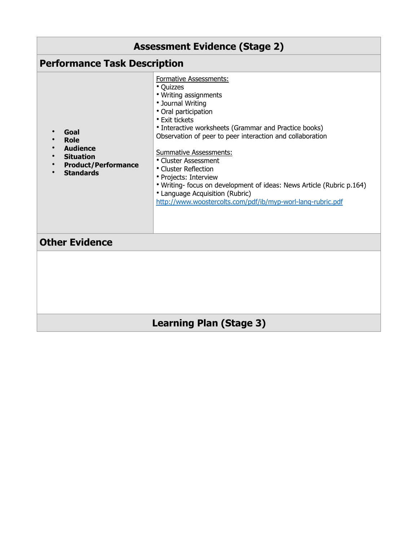| <b>Assessment Evidence (Stage 2)</b>                                                                         |                                                                                                                                                                                                                                                                                                                                                                                                                                                                                                                                        |  |
|--------------------------------------------------------------------------------------------------------------|----------------------------------------------------------------------------------------------------------------------------------------------------------------------------------------------------------------------------------------------------------------------------------------------------------------------------------------------------------------------------------------------------------------------------------------------------------------------------------------------------------------------------------------|--|
| <b>Performance Task Description</b>                                                                          |                                                                                                                                                                                                                                                                                                                                                                                                                                                                                                                                        |  |
| Goal<br><b>Role</b><br><b>Audience</b><br><b>Situation</b><br><b>Product/Performance</b><br><b>Standards</b> | Formative Assessments:<br>• Quizzes<br>• Writing assignments<br>• Journal Writing<br>• Oral participation<br>• Exit tickets<br>• Interactive worksheets (Grammar and Practice books)<br>Observation of peer to peer interaction and collaboration<br><b>Summative Assessments:</b><br>• Cluster Assessment<br>• Cluster Reflection<br>• Projects: Interview<br>. Writing- focus on development of ideas: News Article (Rubric p.164)<br>• Language Acquisition (Rubric)<br>http://www.woostercolts.com/pdf/ib/myp-worl-lang-rubric.pdf |  |
| <b>Other Evidence</b>                                                                                        |                                                                                                                                                                                                                                                                                                                                                                                                                                                                                                                                        |  |
|                                                                                                              |                                                                                                                                                                                                                                                                                                                                                                                                                                                                                                                                        |  |
| <b>Learning Plan (Stage 3)</b>                                                                               |                                                                                                                                                                                                                                                                                                                                                                                                                                                                                                                                        |  |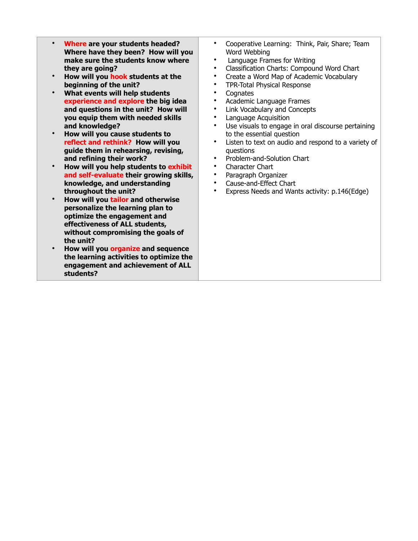- **Where are your students headed? Where have they been? How will you make sure the students know where they are going?**
- **How will you hook students at the beginning of the unit?**
- **What events will help students experience and explore the big idea and questions in the unit? How will you equip them with needed skills and knowledge?**
- **How will you cause students to reflect and rethink? How will you guide them in rehearsing, revising, and refining their work?**
- **How will you help students to exhibit and self-evaluate their growing skills, knowledge, and understanding throughout the unit?**
- **How will you tailor and otherwise personalize the learning plan to optimize the engagement and effectiveness of ALL students, without compromising the goals of the unit?**
- **How will you organize and sequence the learning activities to optimize the engagement and achievement of ALL students?**
- Cooperative Learning: Think, Pair, Share; Team Word Webbing
- Language Frames for Writing
- Classification Charts: Compound Word Chart
- Create a Word Map of Academic Vocabulary
- TPR-Total Physical Response
- Cognates<br>• Academic
- Academic Language Frames<br>• Link Vocabulary and Concent
- Link Vocabulary and Concepts
- Language Acquisition<br>• Lise visuals to engage
- Use visuals to engage in oral discourse pertaining to the essential question
- Listen to text on audio and respond to a variety of questions
- Problem-and-Solution Chart
- Character Chart
- Paragraph Organizer
- Cause-and-Effect Chart<br>• Express Needs and Wan
- Express Needs and Wants activity: p.146(Edge)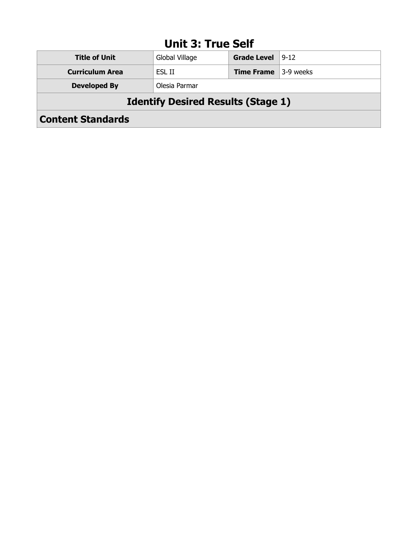### **Unit 3: True Self**

| <b>Title of Unit</b>                      | Global Village | <b>Grade Level</b>                  | $9 - 12$ |
|-------------------------------------------|----------------|-------------------------------------|----------|
| <b>Curriculum Area</b>                    | ESL II         | <b>Time Frame</b> $\vert$ 3-9 weeks |          |
| <b>Developed By</b>                       | Olesia Parmar  |                                     |          |
| <b>Identify Desired Results (Stage 1)</b> |                |                                     |          |
| <b>Content Standards</b>                  |                |                                     |          |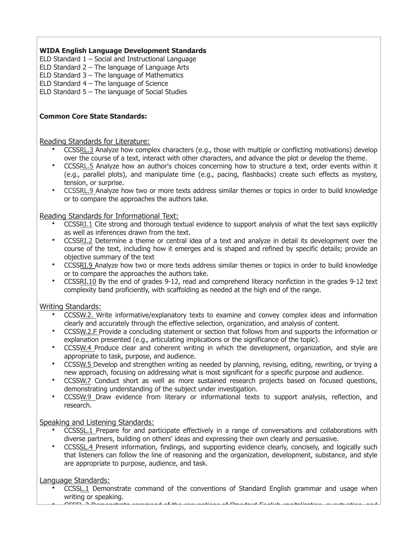- ELD Standard  $1 -$  Social and Instructional Language
- ELD Standard 2 The language of Language Arts
- ELD Standard 3 The language of Mathematics
- ELD Standard  $4$  The language of Science

ELD Standard 5 – The language of Social Studies

#### **Common Core State Standards:**

#### Reading Standards for Literature:

- CCSS[RL.3](http://www.corestandards.org/ELA-Literacy/RL/9-10/3/) Analyze how complex characters (e.g., those with multiple or conflicting motivations) develop over the course of a text, interact with other characters, and advance the plot or develop the theme.
- CCSS[RL.5](http://www.corestandards.org/ELA-Literacy/RL/9-10/5/) Analyze how an author's choices concerning how to structure a text, order events within it (e.g., parallel plots), and manipulate time (e.g., pacing, flashbacks) create such effects as mystery, tension, or surprise.
- CCSSRL.9 Analyze how two or more texts address similar themes or topics in order to build knowledge or to compare the approaches the authors take.

#### Reading Standards for Informational Text:

- CCSS[RI.1](http://www.corestandards.org/ELA-Literacy/RL/9-10/1/) Cite strong and thorough textual evidence to support analysis of what the text says explicitly as well as inferences drawn from the text.
- CCSS[RI.2](http://www.corestandards.org/ELA-Literacy/RL/9-10/2/) Determine a theme or central idea of a text and analyze in detail its development over the course of the text, including how it emerges and is shaped and refined by specific details; provide an objective summary of the text
- CCSSRI.9 Analyze how two or more texts address similar themes or topics in order to build knowledge or to compare the approaches the authors take.
- CCSS[RI.10](http://www.corestandards.org/ELA-Literacy/RI/9-10/10/) By the end of grades 9-12, read and comprehend literacy nonfiction in the grades 9-12 text complexity band proficiently, with scaffolding as needed at the high end of the range.

#### Writing Standards:

- CCSSW.2. Write informative/explanatory texts to examine and convey complex ideas and information clearly and accurately through the effective selection, organization, and analysis of content.
- CCSSW.2.F Provide a concluding statement or section that follows from and supports the information or explanation presented (e.g., articulating implications or the significance of the topic).
- CCSSW.4 Produce clear and coherent writing in which the development, organization, and style are appropriate to task, purpose, and audience.
- CCSSW.5 Develop and strengthen writing as needed by planning, revising, editing, rewriting, or trying a new approach, focusing on addressing what is most significant for a specific purpose and audience.
- CCSSW.7 Conduct short as well as more sustained research projects based on focused questions, demonstrating understanding of the subject under investigation.
- CCSSW.9 Draw evidence from literary or informational texts to support analysis, reflection, and research.

#### Speaking and Listening Standards:

- CCSSSL.1 Prepare for and participate effectively in a range of conversations and collaborations with diverse partners, building on others' ideas and expressing their own clearly and persuasive.
- CCSSSL.4 Present information, findings, and supporting evidence clearly, concisely, and logically such that listeners can follow the line of reasoning and the organization, development, substance, and style are appropriate to purpose, audience, and task.

#### Language Standards:

• CCSSL.1 Demonstrate command of the conventions of Standard English grammar and usage when writing or speaking. • CCSSL.2 Demonstrate command of the conventions of Standard English capitalization, punctuation, and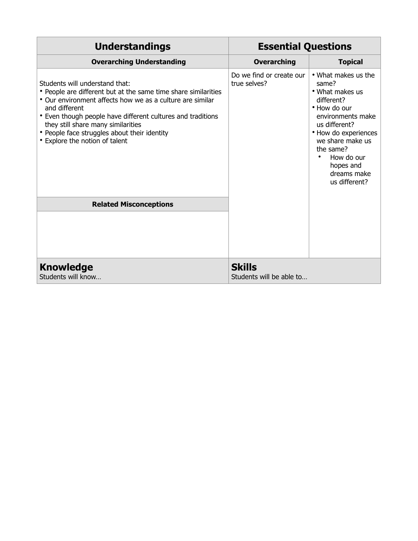| <b>Understandings</b>                                                                                                                                                                                                                                                                                                                                                 | <b>Essential Questions</b>                |                                                                                                                                                                                                                                                      |  |
|-----------------------------------------------------------------------------------------------------------------------------------------------------------------------------------------------------------------------------------------------------------------------------------------------------------------------------------------------------------------------|-------------------------------------------|------------------------------------------------------------------------------------------------------------------------------------------------------------------------------------------------------------------------------------------------------|--|
| <b>Overarching Understanding</b>                                                                                                                                                                                                                                                                                                                                      | <b>Overarching</b>                        | <b>Topical</b>                                                                                                                                                                                                                                       |  |
| Students will understand that:<br>• People are different but at the same time share similarities<br>• Our environment affects how we as a culture are similar<br>and different<br>• Even though people have different cultures and traditions<br>they still share many similarities<br>• People face struggles about their identity<br>• Explore the notion of talent | Do we find or create our<br>true selves?  | • What makes us the<br>same?<br>• What makes us<br>different?<br>• How do our<br>environments make<br>us different?<br>• How do experiences<br>we share make us<br>the same?<br>How do our<br>$\bullet$<br>hopes and<br>dreams make<br>us different? |  |
| <b>Related Misconceptions</b>                                                                                                                                                                                                                                                                                                                                         |                                           |                                                                                                                                                                                                                                                      |  |
|                                                                                                                                                                                                                                                                                                                                                                       |                                           |                                                                                                                                                                                                                                                      |  |
| <b>Knowledge</b><br>Students will know                                                                                                                                                                                                                                                                                                                                | <b>Skills</b><br>Students will be able to |                                                                                                                                                                                                                                                      |  |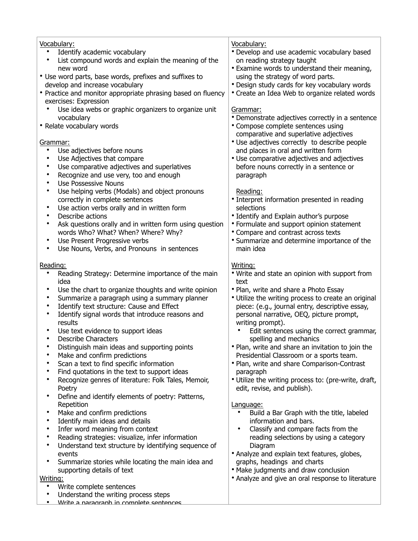| Vocabulary:<br>Identify academic vocabulary<br>$\bullet$<br>List compound words and explain the meaning of the<br>$\bullet$<br>new word<br>• Use word parts, base words, prefixes and suffixes to<br>develop and increase vocabulary<br>• Practice and monitor appropriate phrasing based on fluency<br>exercises: Expression                                                                                       | Vocabulary:<br>• Develop and use academic vocabulary based<br>on reading strategy taught<br>• Examine words to understand their meaning,<br>using the strategy of word parts.<br>• Design study cards for key vocabulary words<br>• Create an Idea Web to organize related words       |
|---------------------------------------------------------------------------------------------------------------------------------------------------------------------------------------------------------------------------------------------------------------------------------------------------------------------------------------------------------------------------------------------------------------------|----------------------------------------------------------------------------------------------------------------------------------------------------------------------------------------------------------------------------------------------------------------------------------------|
| Use idea webs or graphic organizers to organize unit<br>vocabulary<br>• Relate vocabulary words                                                                                                                                                                                                                                                                                                                     | Grammar:<br>• Demonstrate adjectives correctly in a sentence<br>• Compose complete sentences using<br>comparative and superlative adjectives                                                                                                                                           |
| Grammar:<br>$\bullet$<br>Use adjectives before nouns<br>Use Adjectives that compare<br>$\bullet$<br>Use comparative adjectives and superlatives<br>$\bullet$<br>Recognize and use very, too and enough<br>$\bullet$<br>Use Possessive Nouns<br>$\bullet$                                                                                                                                                            | • Use adjectives correctly to describe people<br>and places in oral and written form<br>• Use comparative adjectives and adjectives<br>before nouns correctly in a sentence or<br>paragraph                                                                                            |
| Use helping verbs (Modals) and object pronouns<br>$\bullet$<br>correctly in complete sentences<br>Use action verbs orally and in written form<br>$\bullet$<br>Describe actions<br>$\bullet$<br>Ask questions orally and in written form using question<br>$\bullet$<br>words Who? What? When? Where? Why?<br>Use Present Progressive verbs<br>$\bullet$<br>Use Nouns, Verbs, and Pronouns in sentences<br>$\bullet$ | Reading:<br>• Interpret information presented in reading<br>selections<br>• Identify and Explain author's purpose<br>• Formulate and support opinion statement<br>• Compare and contrast across texts<br>• Summarize and determine importance of the<br>main idea                      |
| Reading:<br>Reading Strategy: Determine importance of the main<br>$\bullet$<br>idea                                                                                                                                                                                                                                                                                                                                 | Writing:<br>• Write and state an opinion with support from<br>text                                                                                                                                                                                                                     |
| Use the chart to organize thoughts and write opinion<br>$\bullet$<br>Summarize a paragraph using a summary planner<br>$\bullet$<br>Identify text structure: Cause and Effect<br>$\bullet$<br>Identify signal words that introduce reasons and<br>$\bullet$<br>results<br>Use text evidence to support ideas<br><b>Describe Characters</b><br>$\bullet$                                                              | • Plan, write and share a Photo Essay<br>• Utilize the writing process to create an original<br>piece: (e.g., journal entry, descriptive essay,<br>personal narrative, OEQ, picture prompt,<br>writing prompt).<br>Edit sentences using the correct grammar,<br>spelling and mechanics |
| Distinguish main ideas and supporting points<br>Make and confirm predictions<br>Scan a text to find specific information                                                                                                                                                                                                                                                                                            | • Plan, write and share an invitation to join the<br>Presidential Classroom or a sports team.<br>• Plan, write and share Comparison-Contrast                                                                                                                                           |
| Find quotations in the text to support ideas<br>Recognize genres of literature: Folk Tales, Memoir,<br>٠<br>Poetry                                                                                                                                                                                                                                                                                                  | paragraph<br>• Utilize the writing process to: (pre-write, draft,<br>edit, revise, and publish).                                                                                                                                                                                       |
| Define and identify elements of poetry: Patterns,<br>٠<br>Repetition<br>Make and confirm predictions<br>٠<br>$\bullet$                                                                                                                                                                                                                                                                                              | Language:<br>Build a Bar Graph with the title, labeled<br>information and bars.                                                                                                                                                                                                        |
| Identify main ideas and details<br>Infer word meaning from context<br>$\bullet$<br>Reading strategies: visualize, infer information<br>$\bullet$<br>Understand text structure by identifying sequence of<br>$\bullet$                                                                                                                                                                                               | Classify and compare facts from the<br>reading selections by using a category<br>Diagram                                                                                                                                                                                               |
| events<br>Summarize stories while locating the main idea and<br>٠<br>supporting details of text                                                                                                                                                                                                                                                                                                                     | • Analyze and explain text features, globes,<br>graphs, headings and charts<br>• Make judgments and draw conclusion                                                                                                                                                                    |
| Writing:<br>Write complete sentences<br>$\bullet$<br>Understand the writing process steps<br>Write a naragraph in complete sentences<br>٠                                                                                                                                                                                                                                                                           | • Analyze and give an oral response to literature                                                                                                                                                                                                                                      |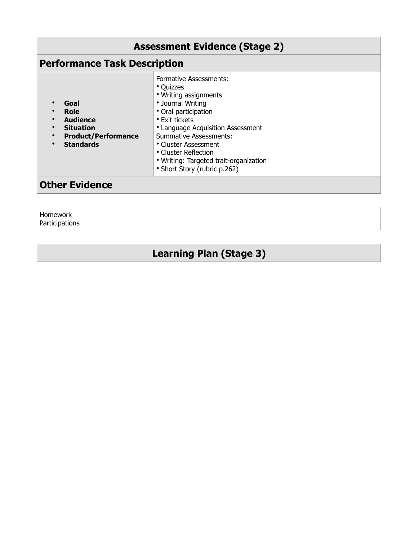| <b>Assessment Evidence (Stage 2)</b>                                                                               |                                                                                                                                                                                                                                                                                                                             |
|--------------------------------------------------------------------------------------------------------------------|-----------------------------------------------------------------------------------------------------------------------------------------------------------------------------------------------------------------------------------------------------------------------------------------------------------------------------|
| <b>Performance Task Description</b>                                                                                |                                                                                                                                                                                                                                                                                                                             |
| Goal<br>Role<br>$\bullet$<br><b>Audience</b><br><b>Situation</b><br><b>Product/Performance</b><br><b>Standards</b> | <b>Formative Assessments:</b><br>• Quizzes<br>• Writing assignments<br>• Journal Writing<br>• Oral participation<br>• Exit tickets<br>• Language Acquisition Assessment<br>Summative Assessments:<br>• Cluster Assessment<br>• Cluster Reflection<br>• Writing: Targeted trait-organization<br>• Short Story (rubric p.262) |
| <b>Other Evidence</b>                                                                                              |                                                                                                                                                                                                                                                                                                                             |

Homework Participations

# **Learning Plan (Stage 3)**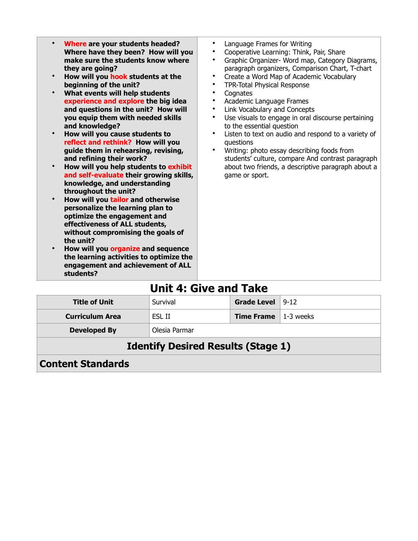| Where are your students headed?<br>Where have they been? How will you<br>make sure the students know where<br>they are going?<br>How will you hook students at the<br>beginning of the unit?<br>What events will help students<br>experience and explore the big idea<br>and questions in the unit? How will<br>you equip them with needed skills<br>and knowledge?<br>How will you cause students to<br>reflect and rethink? How will you<br>guide them in rehearsing, revising,<br>and refining their work?<br>How will you help students to exhibit<br>and self-evaluate their growing skills,<br>knowledge, and understanding<br>throughout the unit?<br>How will you tailor and otherwise<br>personalize the learning plan to<br>optimize the engagement and<br>effectiveness of ALL students,<br>without compromising the goals of<br>the unit?<br>How will you organize and sequence<br>the learning activities to optimize the<br>engagement and achievement of ALL | Language Frames for Writing<br>$\bullet$<br>Cooperative Learning: Think, Pair, Share<br>$\bullet$<br>Graphic Organizer- Word map, Category Diagrams,<br>$\bullet$<br>paragraph organizers, Comparison Chart, T-chart<br>Create a Word Map of Academic Vocabulary<br>$\bullet$<br>TPR-Total Physical Response<br>$\bullet$<br>Cognates<br>$\bullet$<br>Academic Language Frames<br>$\bullet$<br>Link Vocabulary and Concepts<br>$\bullet$<br>Use visuals to engage in oral discourse pertaining<br>to the essential question<br>Listen to text on audio and respond to a variety of<br>questions<br>Writing: photo essay describing foods from<br>students' culture, compare And contrast paragraph<br>about two friends, a descriptive paragraph about a<br>game or sport. |
|-----------------------------------------------------------------------------------------------------------------------------------------------------------------------------------------------------------------------------------------------------------------------------------------------------------------------------------------------------------------------------------------------------------------------------------------------------------------------------------------------------------------------------------------------------------------------------------------------------------------------------------------------------------------------------------------------------------------------------------------------------------------------------------------------------------------------------------------------------------------------------------------------------------------------------------------------------------------------------|----------------------------------------------------------------------------------------------------------------------------------------------------------------------------------------------------------------------------------------------------------------------------------------------------------------------------------------------------------------------------------------------------------------------------------------------------------------------------------------------------------------------------------------------------------------------------------------------------------------------------------------------------------------------------------------------------------------------------------------------------------------------------|
| students?                                                                                                                                                                                                                                                                                                                                                                                                                                                                                                                                                                                                                                                                                                                                                                                                                                                                                                                                                                   |                                                                                                                                                                                                                                                                                                                                                                                                                                                                                                                                                                                                                                                                                                                                                                            |
|                                                                                                                                                                                                                                                                                                                                                                                                                                                                                                                                                                                                                                                                                                                                                                                                                                                                                                                                                                             |                                                                                                                                                                                                                                                                                                                                                                                                                                                                                                                                                                                                                                                                                                                                                                            |

### **Unit 4: Give and Take**

| <b>Title of Unit</b>                      | Survival      | <b>Grade Level</b>                  | $ 9-12 $ |
|-------------------------------------------|---------------|-------------------------------------|----------|
| <b>Curriculum Area</b>                    | ESL II        | <b>Time Frame</b> $\vert$ 1-3 weeks |          |
| <b>Developed By</b>                       | Olesia Parmar |                                     |          |
| <b>Identify Desired Results (Stage 1)</b> |               |                                     |          |

**Content Standards**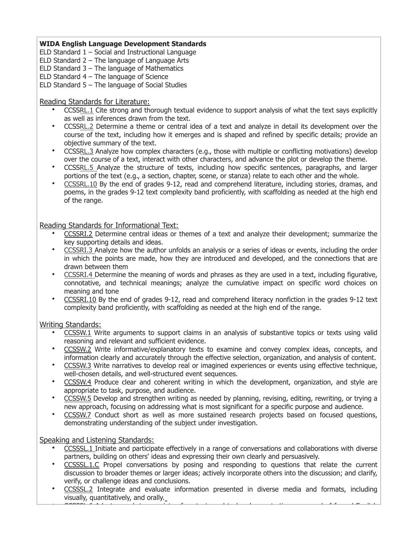ELD Standard  $1 -$  Social and Instructional Language

- ELD Standard 2 The language of Language Arts
- ELD Standard  $3$  The language of Mathematics
- ELD Standard  $4$  The language of Science
- ELD Standard  $5 -$  The language of Social Studies

#### Reading Standards for Literature:

- CCSS[RL.1](http://www.corestandards.org/ELA-Literacy/RL/9-10/1/) Cite strong and thorough textual evidence to support analysis of what the text says explicitly as well as inferences drawn from the text.
- CCSS[RL.2](http://www.corestandards.org/ELA-Literacy/RL/9-10/2/) Determine a theme or central idea of a text and analyze in detail its development over the course of the text, including how it emerges and is shaped and refined by specific details; provide an objective summary of the text.
- CCSS[RL.3](http://www.corestandards.org/ELA-Literacy/RL/9-10/3/) Analyze how complex characters (e.g., those with multiple or conflicting motivations) develop over the course of a text, interact with other characters, and advance the plot or develop the theme.
- CCSSRL.5 Analyze the structure of texts, including how specific sentences, paragraphs, and larger portions of the text (e.g., a section, chapter, scene, or stanza) relate to each other and the whole.
- CCSSRL.10 By the end of grades 9-12, read and comprehend literature, including stories, dramas, and poems, in the grades 9-12 text complexity band proficiently, with scaffolding as needed at the high end of the range.

Reading Standards for Informational Text:

- CCSSRI.2 Determine central ideas or themes of a text and analyze their development; summarize the key supporting details and ideas.
- CCSSRI.3 Analyze how the author unfolds an analysis or a series of ideas or events, including the order in which the points are made, how they are introduced and developed, and the connections that are drawn between them
- CCSSRI.4 Determine the meaning of words and phrases as they are used in a text, including figurative, connotative, and technical meanings; analyze the cumulative impact on specific word choices on meaning and tone
- CCSS[RI.10](http://www.corestandards.org/ELA-Literacy/RI/9-10/10/) By the end of grades 9-12, read and comprehend literacy nonfiction in the grades 9-12 text complexity band proficiently, with scaffolding as needed at the high end of the range.

Writing Standards:

- CCSSW.1 Write arguments to support claims in an analysis of substantive topics or texts using valid reasoning and relevant and sufficient evidence.
- CCSSW.2 Write informative/explanatory texts to examine and convey complex ideas, concepts, and information clearly and accurately through the effective selection, organization, and analysis of content.
- CCSSW.3 Write narratives to develop real or imagined experiences or events using effective technique, well-chosen details, and well-structured event sequences.
- CCSSW.4 Produce clear and coherent writing in which the development, organization, and style are appropriate to task, purpose, and audience.
- CCSSW.5 Develop and strengthen writing as needed by planning, revising, editing, rewriting, or trying a new approach, focusing on addressing what is most significant for a specific purpose and audience.
- CCSSW.7 Conduct short as well as more sustained research projects based on focused questions, demonstrating understanding of the subject under investigation.

Speaking and Listening Standards:

- CCSSSL.1 Initiate and participate effectively in a range of conversations and collaborations with diverse partners, building on others' ideas and expressing their own clearly and persuasively.
- CCSSSL.1.C Propel conversations by posing and responding to questions that relate the current discussion to broader themes or larger ideas; actively incorporate others into the discussion; and clarify, verify, or challenge ideas and conclusions.
- CCSSSL.2 Integrate and evaluate information presented in diverse media and formats, including visually, quantitatively, and orally.  $\sim$  Cocosi can be a variety of contexts and tasks, demonstrating community community community community community  $\sim$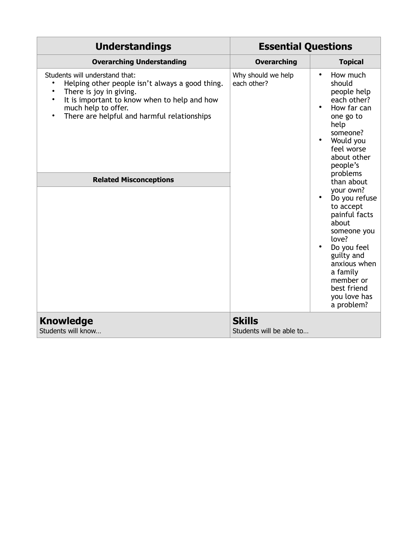| <b>Understandings</b>                                                                                                                                                                                                                                                                                      | <b>Essential Questions</b>                |                                                                                                                                                                                                                                                                                                                                                                                                               |
|------------------------------------------------------------------------------------------------------------------------------------------------------------------------------------------------------------------------------------------------------------------------------------------------------------|-------------------------------------------|---------------------------------------------------------------------------------------------------------------------------------------------------------------------------------------------------------------------------------------------------------------------------------------------------------------------------------------------------------------------------------------------------------------|
| <b>Overarching Understanding</b>                                                                                                                                                                                                                                                                           | <b>Overarching</b>                        | <b>Topical</b>                                                                                                                                                                                                                                                                                                                                                                                                |
| Students will understand that:<br>Helping other people isn't always a good thing.<br>$\bullet$<br>There is joy in giving.<br>It is important to know when to help and how<br>$\bullet$<br>much help to offer.<br>There are helpful and harmful relationships<br>$\bullet$<br><b>Related Misconceptions</b> | Why should we help<br>each other?         | How much<br>$\bullet$<br>should<br>people help<br>each other?<br>How far can<br>one go to<br>help<br>someone?<br>Would you<br>feel worse<br>about other<br>people's<br>problems<br>than about<br>your own?<br>Do you refuse<br>to accept<br>painful facts<br>about<br>someone you<br>love?<br>Do you feel<br>guilty and<br>anxious when<br>a family<br>member or<br>best friend<br>you love has<br>a problem? |
| <b>Knowledge</b><br>Students will know                                                                                                                                                                                                                                                                     | <b>Skills</b><br>Students will be able to |                                                                                                                                                                                                                                                                                                                                                                                                               |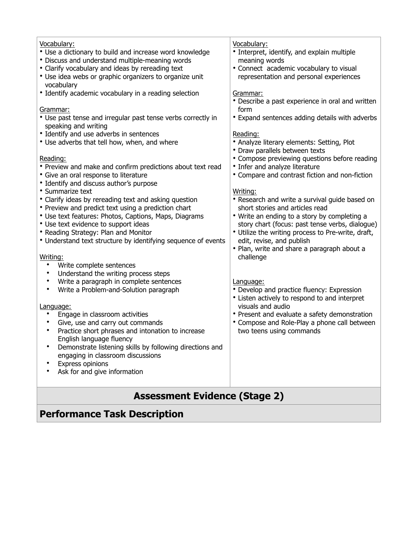| Vocabulary:                                                                          | Vocabulary:                                        |
|--------------------------------------------------------------------------------------|----------------------------------------------------|
| • Use a dictionary to build and increase word knowledge                              | • Interpret, identify, and explain multiple        |
| • Discuss and understand multiple-meaning words                                      | meaning words                                      |
| • Clarify vocabulary and ideas by rereading text                                     | • Connect academic vocabulary to visual            |
| • Use idea webs or graphic organizers to organize unit                               | representation and personal experiences            |
| vocabulary                                                                           |                                                    |
| • Identify academic vocabulary in a reading selection                                | Grammar:                                           |
|                                                                                      | • Describe a past experience in oral and written   |
| Grammar:                                                                             | form                                               |
| • Use past tense and irregular past tense verbs correctly in<br>speaking and writing | • Expand sentences adding details with adverbs     |
| • Identify and use adverbs in sentences                                              | Reading:                                           |
| • Use adverbs that tell how, when, and where                                         | • Analyze literary elements: Setting, Plot         |
|                                                                                      | • Draw parallels between texts                     |
| Reading:                                                                             | • Compose previewing questions before reading      |
| • Preview and make and confirm predictions about text read                           | • Infer and analyze literature                     |
| • Give an oral response to literature                                                | • Compare and contrast fiction and non-fiction     |
| • Identify and discuss author's purpose                                              |                                                    |
| • Summarize text                                                                     | Writing:                                           |
| • Clarify ideas by rereading text and asking question                                | • Research and write a survival guide based on     |
| • Preview and predict text using a prediction chart                                  | short stories and articles read                    |
| • Use text features: Photos, Captions, Maps, Diagrams                                | • Write an ending to a story by completing a       |
| • Use text evidence to support ideas                                                 | story chart (focus: past tense verbs, dialogue)    |
| • Reading Strategy: Plan and Monitor                                                 | • Utilize the writing process to Pre-write, draft, |
| • Understand text structure by identifying sequence of events                        | edit, revise, and publish                          |
|                                                                                      | • Plan, write and share a paragraph about a        |
| Writing:<br>$\bullet$                                                                | challenge                                          |
| Write complete sentences<br>Understand the writing process steps<br>٠                |                                                    |
| Write a paragraph in complete sentences<br>٠                                         | Language:                                          |
| Write a Problem-and-Solution paragraph<br>$\bullet$                                  | • Develop and practice fluency: Expression         |
|                                                                                      | • Listen actively to respond to and interpret      |
| Language:                                                                            | visuals and audio                                  |
| Engage in classroom activities<br>$\bullet$                                          | • Present and evaluate a safety demonstration      |
| Give, use and carry out commands<br>٠                                                | • Compose and Role-Play a phone call between       |
| Practice short phrases and intonation to increase<br>$\bullet$                       | two teens using commands                           |
| English language fluency                                                             |                                                    |
| Demonstrate listening skills by following directions and<br>٠                        |                                                    |
| engaging in classroom discussions                                                    |                                                    |
| Express opinions                                                                     |                                                    |
| Ask for and give information                                                         |                                                    |
|                                                                                      |                                                    |
|                                                                                      |                                                    |
| <b>Assessment Evidence (Stage 2)</b>                                                 |                                                    |

# **Performance Task Description**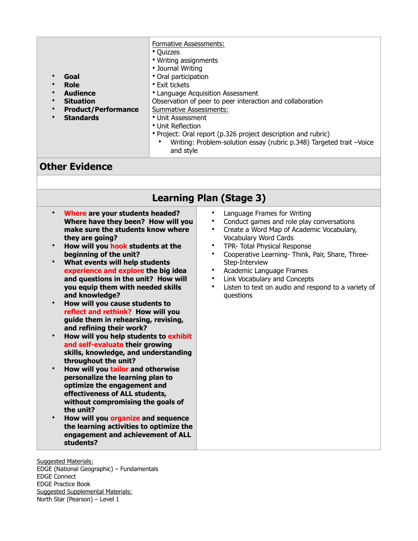| Goal<br>Role<br>$\bullet$<br><b>Audience</b><br>$\bullet$<br><b>Situation</b><br>$\bullet$<br><b>Product/Performance</b><br>$\bullet$<br><b>Standards</b><br>$\bullet$ | Formative Assessments:<br>• Quizzes<br>• Writing assignments<br>• Journal Writing<br>• Oral participation<br>• Exit tickets<br>• Language Acquisition Assessment<br>Observation of peer to peer interaction and collaboration<br><b>Summative Assessments:</b><br>• Unit Assessment<br>• Unit Reflection<br>• Project: Oral report (p.326 project description and rubric)<br>Writing: Problem-solution essay (rubric p.348) Targeted trait -Voice<br>$\bullet$<br>and style |
|------------------------------------------------------------------------------------------------------------------------------------------------------------------------|-----------------------------------------------------------------------------------------------------------------------------------------------------------------------------------------------------------------------------------------------------------------------------------------------------------------------------------------------------------------------------------------------------------------------------------------------------------------------------|
|------------------------------------------------------------------------------------------------------------------------------------------------------------------------|-----------------------------------------------------------------------------------------------------------------------------------------------------------------------------------------------------------------------------------------------------------------------------------------------------------------------------------------------------------------------------------------------------------------------------------------------------------------------------|

### **Other Evidence**

| <b>Learning Plan (Stage 3)</b> |  |  |  |
|--------------------------------|--|--|--|
|--------------------------------|--|--|--|

- **Where are your students headed? Where have they been? How will you make sure the students know where they are going?**
- **How will you hook students at the beginning of the unit?**
- **What events will help students experience and explore the big idea and questions in the unit? How will you equip them with needed skills and knowledge?**
- **How will you cause students to reflect and rethink? How will you guide them in rehearsing, revising, and refining their work?**
- **How will you help students to exhibit and self-evaluate their growing skills, knowledge, and understanding throughout the unit?**
- **How will you tailor and otherwise personalize the learning plan to optimize the engagement and effectiveness of ALL students, without compromising the goals of the unit?**
- **How will you organize and sequence the learning activities to optimize the engagement and achievement of ALL students?**
- Language Frames for Writing
- Conduct games and role play conversations
- Create a Word Map of Academic Vocabulary, Vocabulary Word Cards
- TPR- Total Physical Response
- Cooperative Learning- Think, Pair, Share, Three-Step-Interview
- Academic Language Frames
- Link Vocabulary and Concepts
- Listen to text on audio and respond to a variety of questions

Suggested Materials: EDGE (National Geographic) – Fundamentals EDGE Connect EDGE Practice Book Suggested Supplemental Materials: North Star (Pearson) – Level 1